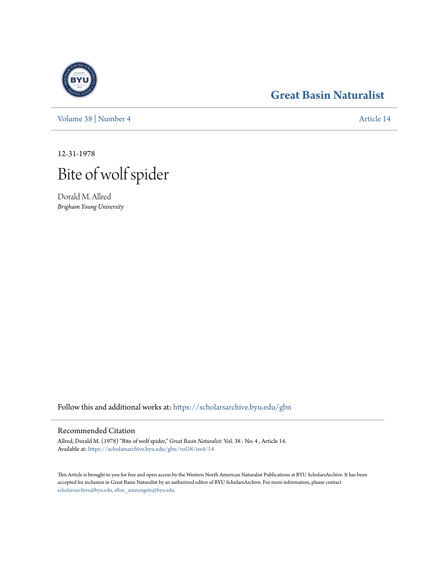

**[Great Basin Naturalist](https://scholarsarchive.byu.edu/gbn?utm_source=scholarsarchive.byu.edu%2Fgbn%2Fvol38%2Fiss4%2F14&utm_medium=PDF&utm_campaign=PDFCoverPages)**

[Volume 38](https://scholarsarchive.byu.edu/gbn/vol38?utm_source=scholarsarchive.byu.edu%2Fgbn%2Fvol38%2Fiss4%2F14&utm_medium=PDF&utm_campaign=PDFCoverPages) | [Number 4](https://scholarsarchive.byu.edu/gbn/vol38/iss4?utm_source=scholarsarchive.byu.edu%2Fgbn%2Fvol38%2Fiss4%2F14&utm_medium=PDF&utm_campaign=PDFCoverPages) [Article 14](https://scholarsarchive.byu.edu/gbn/vol38/iss4/14?utm_source=scholarsarchive.byu.edu%2Fgbn%2Fvol38%2Fiss4%2F14&utm_medium=PDF&utm_campaign=PDFCoverPages)

12-31-1978



Dorald M. Allred *Brigham Young University*

Follow this and additional works at: [https://scholarsarchive.byu.edu/gbn](https://scholarsarchive.byu.edu/gbn?utm_source=scholarsarchive.byu.edu%2Fgbn%2Fvol38%2Fiss4%2F14&utm_medium=PDF&utm_campaign=PDFCoverPages)

## Recommended Citation

Allred, Dorald M. (1978) "Bite of wolf spider," *Great Basin Naturalist*: Vol. 38 : No. 4 , Article 14. Available at: [https://scholarsarchive.byu.edu/gbn/vol38/iss4/14](https://scholarsarchive.byu.edu/gbn/vol38/iss4/14?utm_source=scholarsarchive.byu.edu%2Fgbn%2Fvol38%2Fiss4%2F14&utm_medium=PDF&utm_campaign=PDFCoverPages)

This Article is brought to you for free and open access by the Western North American Naturalist Publications at BYU ScholarsArchive. It has been accepted for inclusion in Great Basin Naturalist by an authorized editor of BYU ScholarsArchive. For more information, please contact [scholarsarchive@byu.edu, ellen\\_amatangelo@byu.edu.](mailto:scholarsarchive@byu.edu,%20ellen_amatangelo@byu.edu)